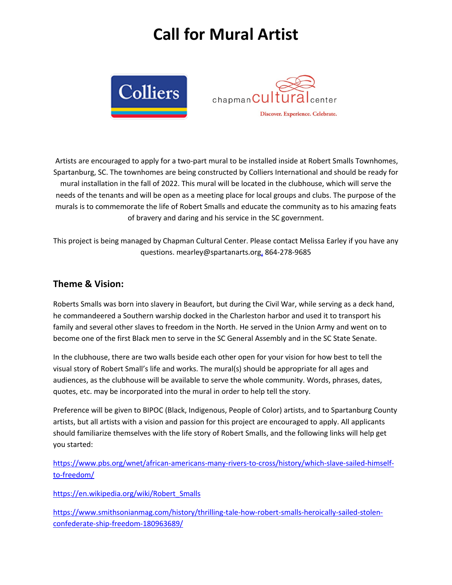## **Call for Mural Artist**





Artists are encouraged to apply for a two-part mural to be installed inside at Robert Smalls Townhomes, Spartanburg, SC. The townhomes are being constructed by Colliers International and should be ready for mural installation in the fall of 2022. This mural will be located in the clubhouse, which will serve the needs of the tenants and will be open as a meeting place for local groups and clubs. The purpose of the murals is to commemorate the life of Robert Smalls and educate the community as to his amazing feats of bravery and daring and his service in the SC government.

This project is being managed by Chapman Cultural Center. Please contact Melissa Earley if you have any questions. mearley@spartanarts.org, 864-278-9685

## **Theme & Vision:**

Roberts Smalls was born into slavery in Beaufort, but during the Civil War, while serving as a deck hand, he commandeered a Southern warship docked in the Charleston harbor and used it to transport his family and several other slaves to freedom in the North. He served in the Union Army and went on to become one of the first Black men to serve in the SC General Assembly and in the SC State Senate.

In the clubhouse, there are two walls beside each other open for your vision for how best to tell the visual story of Robert Small's life and works. The mural(s) should be appropriate for all ages and audiences, as the clubhouse will be available to serve the whole community. Words, phrases, dates, quotes, etc. may be incorporated into the mural in order to help tell the story.

Preference will be given to BIPOC (Black, Indigenous, People of Color) artists, and to Spartanburg County artists, but all artists with a vision and passion for this project are encouraged to apply. All applicants should familiarize themselves with the life story of Robert Smalls, and the following links will help get you started:

https://www.pbs.org/wnet/african-americans-many-rivers-to-cross/history/which-slave-sailed-himselfto-freedom/

https://en.wikipedia.org/wiki/Robert\_Smalls

https://www.smithsonianmag.com/history/thrilling-tale-how-robert-smalls-heroically-sailed-stolenconfederate-ship-freedom-180963689/